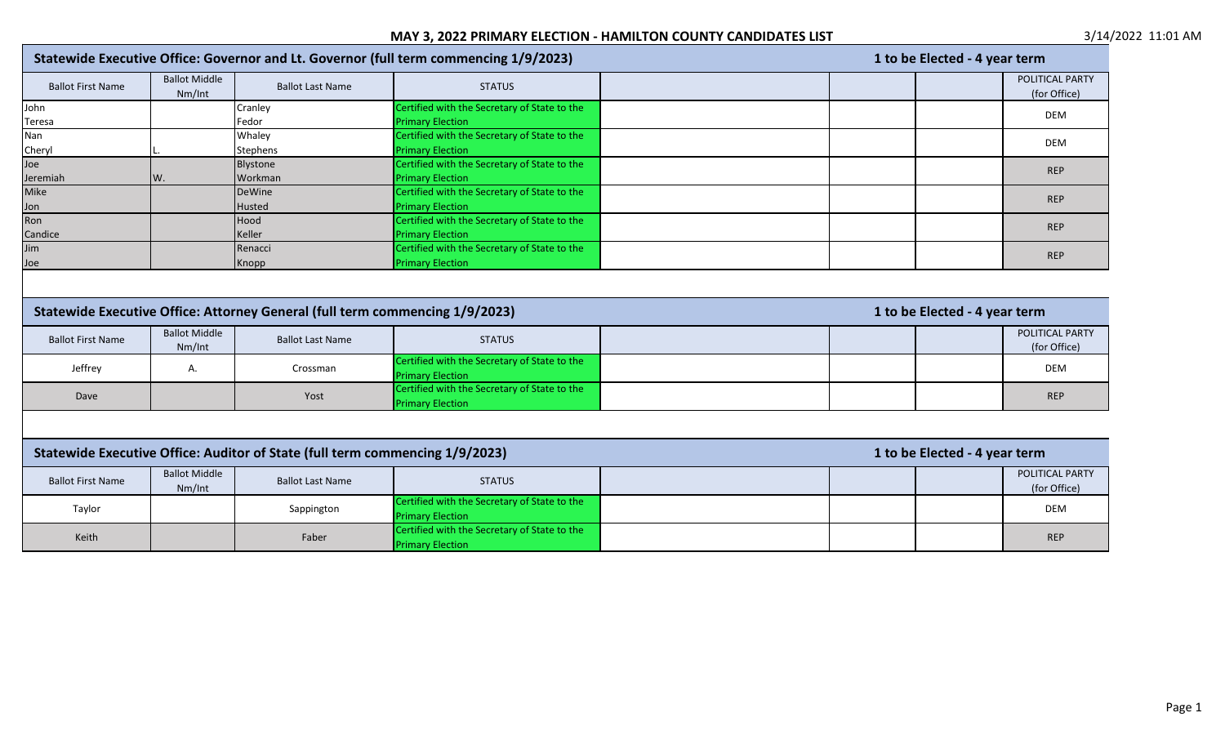|                                                                              |                                |                                                                              | Statewide Executive Office: Governor and Lt. Governor (full term commencing 1/9/2023)                                   | 1 to be Elected - 4 year term   |  |  |  |
|------------------------------------------------------------------------------|--------------------------------|------------------------------------------------------------------------------|-------------------------------------------------------------------------------------------------------------------------|---------------------------------|--|--|--|
| <b>Ballot First Name</b>                                                     | <b>Ballot Middle</b><br>Nm/Int | <b>Ballot Last Name</b>                                                      | <b>STATUS</b>                                                                                                           | POLITICAL PARTY<br>(for Office) |  |  |  |
| John                                                                         |                                | Cranley                                                                      | Certified with the Secretary of State to the                                                                            | DEM                             |  |  |  |
| Teresa                                                                       |                                | Fedor                                                                        | <b>Primary Election</b>                                                                                                 |                                 |  |  |  |
| Nan                                                                          |                                | Whaley                                                                       | Certified with the Secretary of State to the                                                                            | DEM                             |  |  |  |
| Cheryl                                                                       |                                | <b>Stephens</b>                                                              | <b>Primary Election</b>                                                                                                 |                                 |  |  |  |
| Joe                                                                          |                                | Blystone                                                                     | Certified with the Secretary of State to the                                                                            | <b>REP</b>                      |  |  |  |
| Jeremiah                                                                     | W.                             | Workman                                                                      | <b>Primary Election</b>                                                                                                 |                                 |  |  |  |
| Mike                                                                         |                                | <b>DeWine</b>                                                                | Certified with the Secretary of State to the                                                                            | <b>REP</b>                      |  |  |  |
| Jon                                                                          |                                | <b>Husted</b>                                                                | <b>Primary Election</b>                                                                                                 |                                 |  |  |  |
| Ron                                                                          |                                | Hood                                                                         | Certified with the Secretary of State to the                                                                            | <b>REP</b>                      |  |  |  |
| Candice                                                                      |                                | Keller                                                                       | <b>Primary Election</b>                                                                                                 |                                 |  |  |  |
| Jim                                                                          |                                | Renacci                                                                      | Certified with the Secretary of State to the                                                                            | <b>REP</b>                      |  |  |  |
| Joe                                                                          |                                | Knopp                                                                        | <b>Primary Election</b>                                                                                                 |                                 |  |  |  |
| Statewide Executive Office: Attorney General (full term commencing 1/9/2023) |                                |                                                                              |                                                                                                                         |                                 |  |  |  |
|                                                                              |                                |                                                                              |                                                                                                                         | 1 to be Elected - 4 year term   |  |  |  |
| <b>Ballot First Name</b>                                                     | <b>Ballot Middle</b><br>Nm/Int | <b>Ballot Last Name</b>                                                      | <b>STATUS</b>                                                                                                           | POLITICAL PARTY<br>(for Office) |  |  |  |
| Jeffrey                                                                      | Α.                             | Crossman                                                                     | Certified with the Secretary of State to the<br><b>Primary Election</b>                                                 | <b>DEM</b>                      |  |  |  |
| Dave                                                                         |                                | Yost                                                                         | Certified with the Secretary of State to the<br><b>Primary Election</b>                                                 | <b>REP</b>                      |  |  |  |
|                                                                              |                                |                                                                              |                                                                                                                         |                                 |  |  |  |
|                                                                              |                                | Statewide Executive Office: Auditor of State (full term commencing 1/9/2023) |                                                                                                                         | 1 to be Elected - 4 year term   |  |  |  |
| <b>Ballot First Name</b>                                                     | <b>Ballot Middle</b><br>Nm/Int | <b>Ballot Last Name</b>                                                      | <b>STATUS</b>                                                                                                           | POLITICAL PARTY<br>(for Office) |  |  |  |
| Taylor                                                                       |                                | Sappington                                                                   | Certified with the Secretary of State to the<br><b>Primary Election</b><br>Certified with the Secretary of State to the | DEM                             |  |  |  |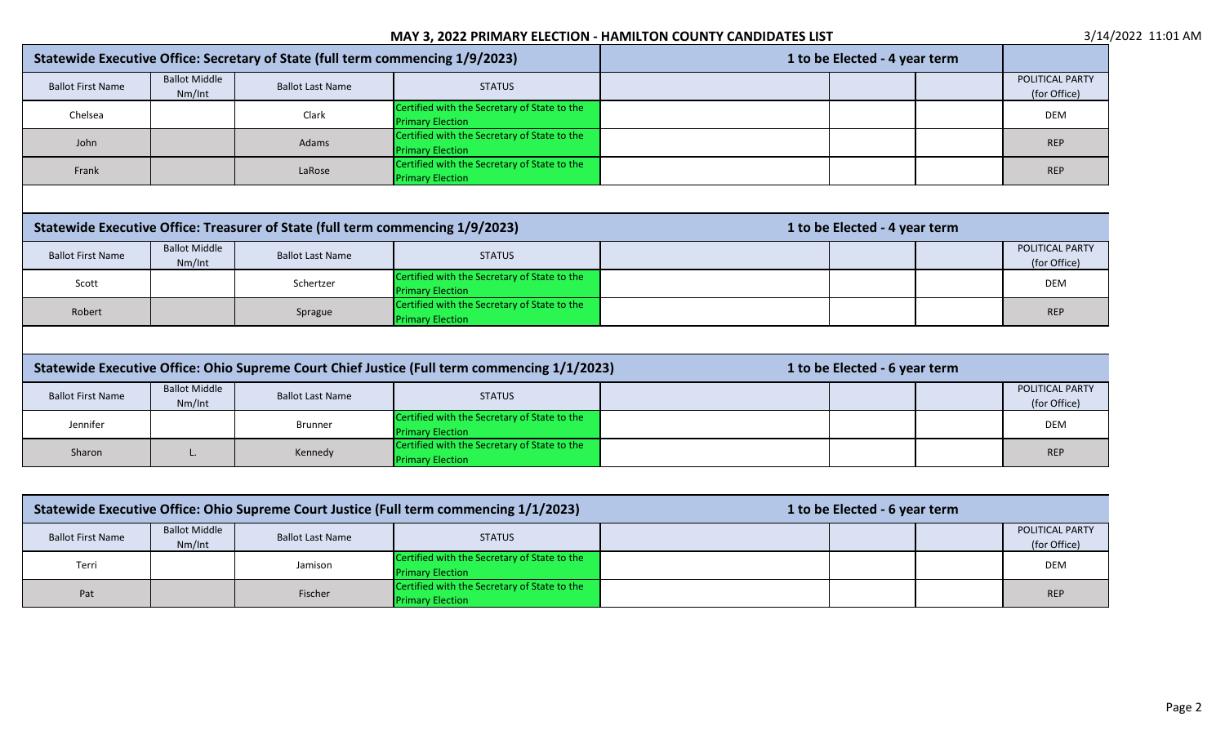|                                                                                                                 | Statewide Executive Office: Secretary of State (full term commencing 1/9/2023) |                         |                                                                                              |  | 1 to be Elected - 4 year term |                                 |
|-----------------------------------------------------------------------------------------------------------------|--------------------------------------------------------------------------------|-------------------------|----------------------------------------------------------------------------------------------|--|-------------------------------|---------------------------------|
| <b>Ballot First Name</b>                                                                                        | <b>Ballot Middle</b><br>Nm/Int                                                 | <b>Ballot Last Name</b> | <b>STATUS</b>                                                                                |  |                               | POLITICAL PARTY<br>(for Office) |
| Chelsea                                                                                                         |                                                                                | Clark                   | Certified with the Secretary of State to the<br><b>Primary Election</b>                      |  |                               | <b>DEM</b>                      |
| John                                                                                                            |                                                                                | Adams                   | Certified with the Secretary of State to the<br><b>Primary Election</b>                      |  |                               | <b>REP</b>                      |
| Frank                                                                                                           |                                                                                | LaRose                  | Certified with the Secretary of State to the<br><b>Primary Election</b>                      |  |                               | <b>REP</b>                      |
|                                                                                                                 |                                                                                |                         |                                                                                              |  |                               |                                 |
| Statewide Executive Office: Treasurer of State (full term commencing 1/9/2023)<br>1 to be Elected - 4 year term |                                                                                |                         |                                                                                              |  |                               |                                 |
| <b>Ballot First Name</b>                                                                                        | <b>Ballot Middle</b><br>Nm/Int                                                 | <b>Ballot Last Name</b> | <b>STATUS</b>                                                                                |  |                               | POLITICAL PARTY<br>(for Office) |
| Scott                                                                                                           |                                                                                | Schertzer               | Certified with the Secretary of State to the<br><b>Primary Election</b>                      |  |                               | <b>DEM</b>                      |
| Robert                                                                                                          |                                                                                | Sprague                 | Certified with the Secretary of State to the<br><b>Primary Election</b>                      |  |                               | <b>REP</b>                      |
|                                                                                                                 |                                                                                |                         |                                                                                              |  |                               |                                 |
|                                                                                                                 |                                                                                |                         | Statewide Executive Office: Ohio Supreme Court Chief Justice (Full term commencing 1/1/2023) |  | 1 to be Elected - 6 year term |                                 |
| <b>Ballot First Name</b>                                                                                        | <b>Ballot Middle</b><br>Nm/Int                                                 | <b>Ballot Last Name</b> | <b>STATUS</b>                                                                                |  |                               | POLITICAL PARTY<br>(for Office) |
| Jennifer                                                                                                        |                                                                                | <b>Brunner</b>          | Certified with the Secretary of State to the<br><b>Primary Election</b>                      |  |                               | <b>DEM</b>                      |
| Sharon                                                                                                          | L.                                                                             | Kennedy                 | Certified with the Secretary of State to the<br><b>Primary Election</b>                      |  |                               | <b>REP</b>                      |
|                                                                                                                 |                                                                                |                         |                                                                                              |  |                               |                                 |

| Statewide Executive Office: Ohio Supreme Court Justice (Full term commencing 1/1/2023) |                                |                         | 1 to be Elected - 6 year term                                           |  |  |  |                                 |
|----------------------------------------------------------------------------------------|--------------------------------|-------------------------|-------------------------------------------------------------------------|--|--|--|---------------------------------|
| <b>Ballot First Name</b>                                                               | <b>Ballot Middle</b><br>Nm/Int | <b>Ballot Last Name</b> | <b>STATUS</b>                                                           |  |  |  | POLITICAL PARTY<br>(for Office) |
| Terri                                                                                  |                                | Jamison                 | Certified with the Secretary of State to the<br><b>Primary Election</b> |  |  |  | <b>DEM</b>                      |
| Pat                                                                                    |                                | Fischer                 | Certified with the Secretary of State to the<br><b>Primary Election</b> |  |  |  | <b>REP</b>                      |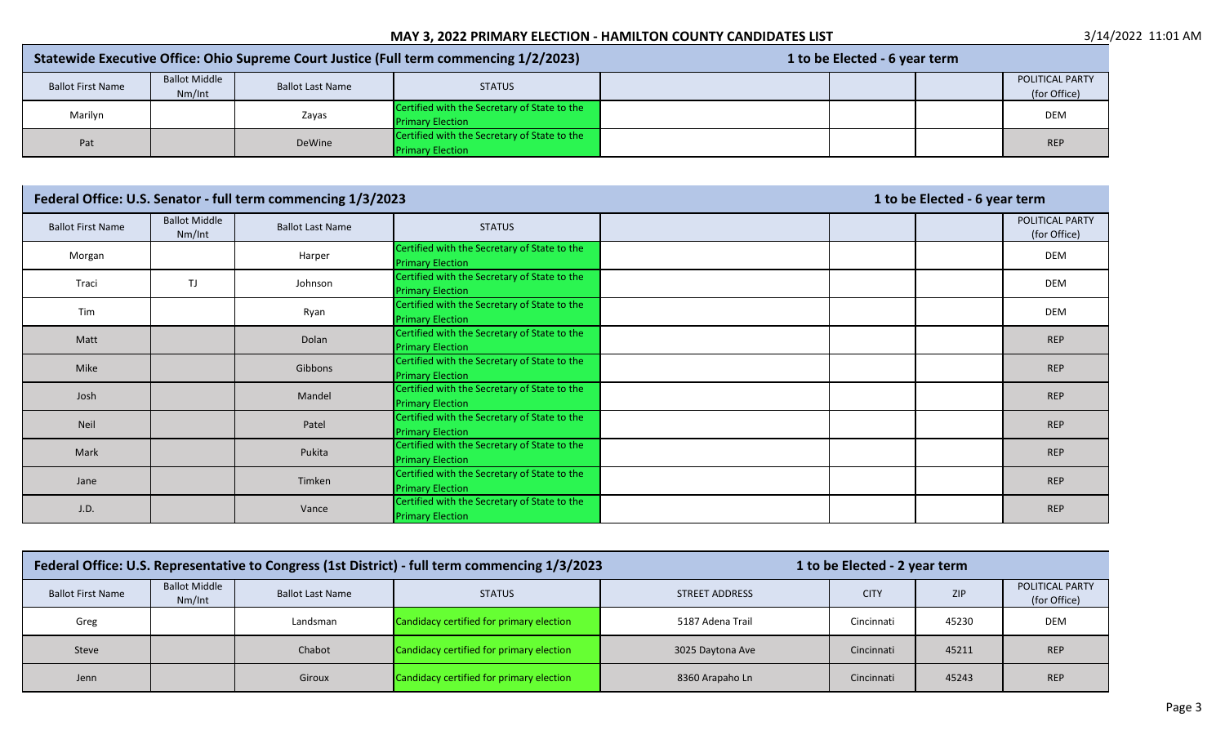| Statewide Executive Office: Ohio Supreme Court Justice (Full term commencing 1/2/2023) |                      |                         |                                              | 1 to be Elected - 6 year term |  |  |                        |
|----------------------------------------------------------------------------------------|----------------------|-------------------------|----------------------------------------------|-------------------------------|--|--|------------------------|
| <b>Ballot First Name</b>                                                               | <b>Ballot Middle</b> | <b>Ballot Last Name</b> | <b>STATUS</b>                                |                               |  |  | <b>POLITICAL PARTY</b> |
|                                                                                        | Nm/Int               |                         |                                              |                               |  |  | (for Office)           |
| Marilyn                                                                                |                      | Zayas                   | Certified with the Secretary of State to the |                               |  |  | <b>DEM</b>             |
|                                                                                        |                      |                         | <b>Primary Election</b>                      |                               |  |  |                        |
| Pat                                                                                    |                      | DeWine                  | Certified with the Secretary of State to the |                               |  |  | <b>REP</b>             |
|                                                                                        |                      |                         | <b>Primary Election</b>                      |                               |  |  |                        |

|                          |                                | Federal Office: U.S. Senator - full term commencing 1/3/2023 |                                                                         | 1 to be Elected - 6 year term |  |  |                                 |
|--------------------------|--------------------------------|--------------------------------------------------------------|-------------------------------------------------------------------------|-------------------------------|--|--|---------------------------------|
| <b>Ballot First Name</b> | <b>Ballot Middle</b><br>Nm/Int | <b>Ballot Last Name</b>                                      | <b>STATUS</b>                                                           |                               |  |  | POLITICAL PARTY<br>(for Office) |
| Morgan                   |                                | Harper                                                       | Certified with the Secretary of State to the<br><b>Primary Election</b> |                               |  |  | DEM                             |
| Traci                    | TJ                             | Johnson                                                      | Certified with the Secretary of State to the<br><b>Primary Election</b> |                               |  |  | DEM                             |
| Tim                      |                                | Ryan                                                         | Certified with the Secretary of State to the<br><b>Primary Election</b> |                               |  |  | DEM                             |
| Matt                     |                                | Dolan                                                        | Certified with the Secretary of State to the<br><b>Primary Election</b> |                               |  |  | <b>REP</b>                      |
| Mike                     |                                | Gibbons                                                      | Certified with the Secretary of State to the<br><b>Primary Election</b> |                               |  |  | <b>REP</b>                      |
| Josh                     |                                | Mandel                                                       | Certified with the Secretary of State to the<br><b>Primary Election</b> |                               |  |  | <b>REP</b>                      |
| Neil                     |                                | Patel                                                        | Certified with the Secretary of State to the<br><b>Primary Election</b> |                               |  |  | <b>REP</b>                      |
| Mark                     |                                | Pukita                                                       | Certified with the Secretary of State to the<br><b>Primary Election</b> |                               |  |  | <b>REP</b>                      |
| Jane                     |                                | Timken                                                       | Certified with the Secretary of State to the<br><b>Primary Election</b> |                               |  |  | <b>REP</b>                      |
| J.D.                     |                                | Vance                                                        | Certified with the Secretary of State to the<br><b>Primary Election</b> |                               |  |  | <b>REP</b>                      |

|                          |                                | Federal Office: U.S. Representative to Congress (1st District) - full term commencing 1/3/2023 | 1 to be Elected - 2 year term            |                       |             |       |                                 |
|--------------------------|--------------------------------|------------------------------------------------------------------------------------------------|------------------------------------------|-----------------------|-------------|-------|---------------------------------|
| <b>Ballot First Name</b> | <b>Ballot Middle</b><br>Nm/Int | <b>Ballot Last Name</b>                                                                        | <b>STATUS</b>                            | <b>STREET ADDRESS</b> | <b>CITY</b> | ZIP   | POLITICAL PARTY<br>(for Office) |
| Greg                     |                                | Landsman                                                                                       | Candidacy certified for primary election | 5187 Adena Trail      | Cincinnati  | 45230 | <b>DEM</b>                      |
| Steve                    |                                | Chabot                                                                                         | Candidacy certified for primary election | 3025 Daytona Ave      | Cincinnati  | 45211 | <b>REP</b>                      |
| Jenn                     |                                | Giroux                                                                                         | Candidacy certified for primary election | 8360 Arapaho Ln       | Cincinnati  | 45243 | <b>REP</b>                      |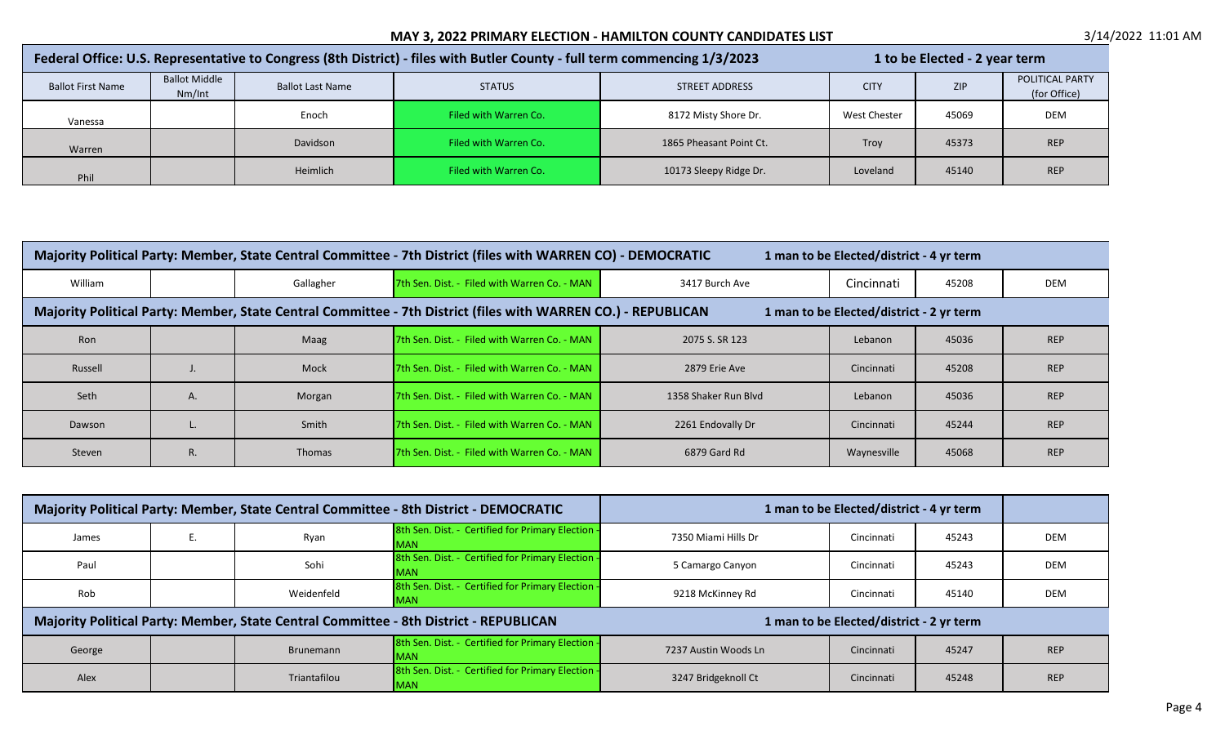| Federal Office: U.S. Representative to Congress (8th District) - files with Butler County - full term commencing 1/3/2023 |                                |                         |                       |                         | 1 to be Elected - 2 year term |       |                                 |  |
|---------------------------------------------------------------------------------------------------------------------------|--------------------------------|-------------------------|-----------------------|-------------------------|-------------------------------|-------|---------------------------------|--|
| <b>Ballot First Name</b>                                                                                                  | <b>Ballot Middle</b><br>Nm/Int | <b>Ballot Last Name</b> | <b>STATUS</b>         | <b>STREET ADDRESS</b>   | <b>CITY</b>                   | ZIP   | POLITICAL PARTY<br>(for Office) |  |
| Vanessa                                                                                                                   |                                | Enoch                   | Filed with Warren Co. | 8172 Misty Shore Dr.    | West Chester                  | 45069 | <b>DEM</b>                      |  |
| Warren                                                                                                                    |                                | <b>Davidson</b>         | Filed with Warren Co. | 1865 Pheasant Point Ct. | Troy                          | 45373 | <b>REP</b>                      |  |
| Phil                                                                                                                      |                                | Heimlich                | Filed with Warren Co. | 10173 Sleepy Ridge Dr.  | Loveland                      | 45140 | <b>REP</b>                      |  |

|         | Majority Political Party: Member, State Central Committee - 7th District (files with WARREN CO) - DEMOCRATIC<br>1 man to be Elected/district - 4 yr term  |           |                                                      |                      |             |       |            |  |  |
|---------|-----------------------------------------------------------------------------------------------------------------------------------------------------------|-----------|------------------------------------------------------|----------------------|-------------|-------|------------|--|--|
| William |                                                                                                                                                           | Gallagher | <b>7th Sen. Dist. - Filed with Warren Co. - MAN</b>  | 3417 Burch Ave       | Cincinnati  | 45208 | <b>DEM</b> |  |  |
|         | Majority Political Party: Member, State Central Committee - 7th District (files with WARREN CO.) - REPUBLICAN<br>1 man to be Elected/district - 2 yr term |           |                                                      |                      |             |       |            |  |  |
| Ron     |                                                                                                                                                           | Maag      | <b>7th Sen. Dist. - Filed with Warren Co. - MAN</b>  | 2075 S. SR 123       | Lebanon     | 45036 | <b>REP</b> |  |  |
| Russell |                                                                                                                                                           | Mock      | <b>17th Sen. Dist. - Filed with Warren Co. - MAN</b> | 2879 Erie Ave        | Cincinnati  | 45208 | <b>REP</b> |  |  |
| Seth    | А.                                                                                                                                                        | Morgan    | <b>17th Sen. Dist. - Filed with Warren Co. - MAN</b> | 1358 Shaker Run Blyd | Lebanon     | 45036 | <b>REP</b> |  |  |
| Dawson  |                                                                                                                                                           | Smith     | <b>7th Sen. Dist. - Filed with Warren Co. - MAN</b>  | 2261 Endovally Dr    | Cincinnati  | 45244 | <b>REP</b> |  |  |
| Steven  | R.                                                                                                                                                        | Thomas    | <b>17th Sen. Dist. - Filed with Warren Co. - MAN</b> | 6879 Gard Rd         | Waynesville | 45068 | <b>REP</b> |  |  |

|        |              | Majority Political Party: Member, State Central Committee - 8th District - DEMOCRATIC |                      | 1 man to be Elected/district - 4 yr term |       |            |
|--------|--------------|---------------------------------------------------------------------------------------|----------------------|------------------------------------------|-------|------------|
| James  | Ryan         | 8th Sen. Dist. - Certified for Primary Election -<br><b>MAN</b>                       | 7350 Miami Hills Dr  | Cincinnati                               | 45243 | <b>DEM</b> |
| Paul   | Sohi         | 8th Sen. Dist. - Certified for Primary Election -<br><b>MAN</b>                       | 5 Camargo Canyon     | Cincinnati                               | 45243 | <b>DEM</b> |
| Rob    | Weidenfeld   | 8th Sen. Dist. - Certified for Primary Election -<br><b>MAN</b>                       | 9218 McKinney Rd     | Cincinnati                               | 45140 | <b>DEM</b> |
|        |              | Majority Political Party: Member, State Central Committee - 8th District - REPUBLICAN |                      | 1 man to be Elected/district - 2 yr term |       |            |
| George | Brunemann    | 8th Sen. Dist. - Certified for Primary Election -<br><b>IMAN</b>                      | 7237 Austin Woods Ln | Cincinnati                               | 45247 | <b>REP</b> |
| Alex   | Triantafilou | 8th Sen. Dist. - Certified for Primary Election -<br><b>MAN</b>                       | 3247 Bridgeknoll Ct  | Cincinnati                               | 45248 | <b>REP</b> |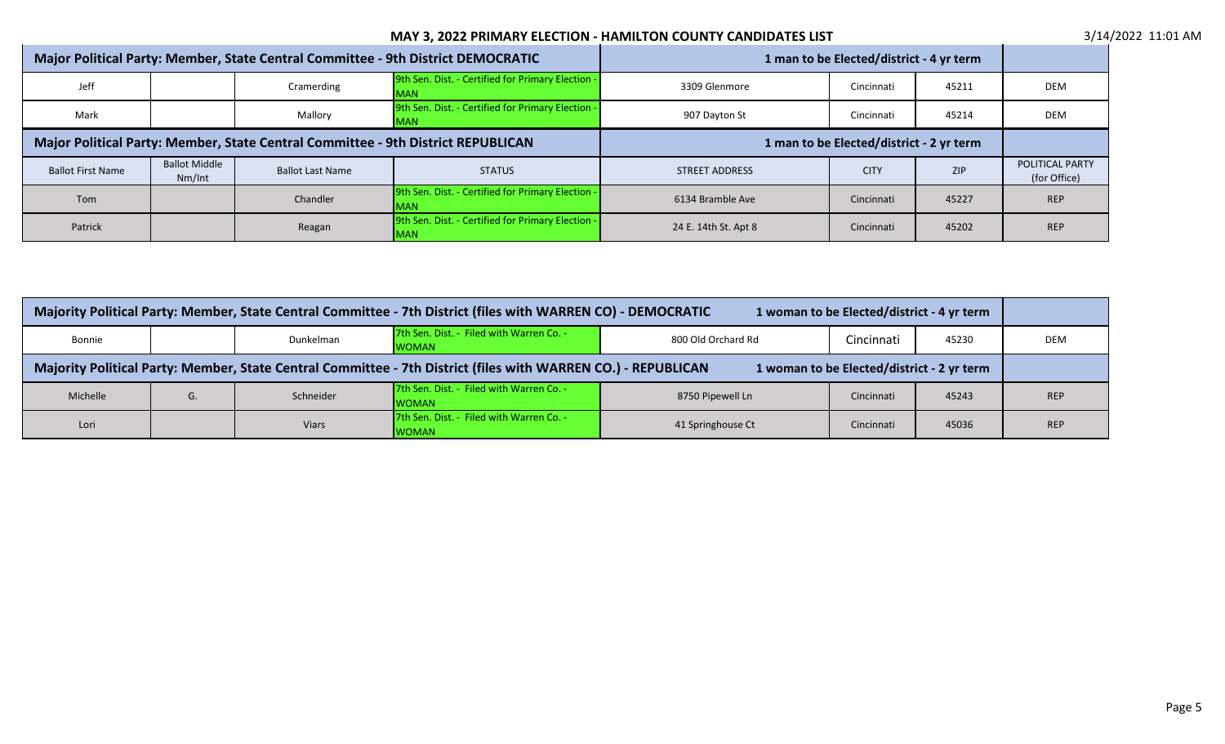|                                                                                  | Major Political Party: Member, State Central Committee - 9th District DEMOCRATIC |                         |                                                                  |                       | 1 man to be Elected/district - 4 yr term |            |                                        |
|----------------------------------------------------------------------------------|----------------------------------------------------------------------------------|-------------------------|------------------------------------------------------------------|-----------------------|------------------------------------------|------------|----------------------------------------|
| Jeff                                                                             |                                                                                  | Cramerding              | 9th Sen. Dist. - Certified for Primary Election -<br><b>MAN</b>  | 3309 Glenmore         | Cincinnati                               | 45211      | <b>DEM</b>                             |
| Mark                                                                             |                                                                                  | Mallory                 | 9th Sen. Dist. - Certified for Primary Election -<br><b>MAN</b>  | 907 Dayton St         | Cincinnati                               | 45214      | DEM                                    |
| Major Political Party: Member, State Central Committee - 9th District REPUBLICAN |                                                                                  |                         | 1 man to be Elected/district - 2 yr term                         |                       |                                          |            |                                        |
| <b>Ballot First Name</b>                                                         | <b>Ballot Middle</b><br>Nm/Int                                                   | <b>Ballot Last Name</b> | <b>STATUS</b>                                                    | <b>STREET ADDRESS</b> | <b>CITY</b>                              | <b>ZIP</b> | <b>POLITICAL PARTY</b><br>(for Office) |
| Tom                                                                              |                                                                                  | Chandler                | 9th Sen. Dist. - Certified for Primary Election -<br><b>IMAN</b> | 6134 Bramble Ave      | Cincinnati                               | 45227      | <b>REP</b>                             |
| Patrick                                                                          |                                                                                  | Reagan                  | 9th Sen. Dist. - Certified for Primary Election -<br><b>MAN</b>  | 24 E. 14th St. Apt 8  | Cincinnati                               | 45202      | <b>REP</b>                             |

| Majority Political Party: Member, State Central Committee - 7th District (files with WARREN CO) - DEMOCRATIC<br>1 woman to be Elected/district - 4 yr term  |    |              |                                                          |                    |            |       |            |
|-------------------------------------------------------------------------------------------------------------------------------------------------------------|----|--------------|----------------------------------------------------------|--------------------|------------|-------|------------|
| Bonnie                                                                                                                                                      |    | Dunkelman    | 7th Sen. Dist. - Filed with Warren Co. -<br><b>WOMAN</b> | 800 Old Orchard Rd | Cincinnati | 45230 | DEM        |
| Majority Political Party: Member, State Central Committee - 7th District (files with WARREN CO.) - REPUBLICAN<br>1 woman to be Elected/district - 2 yr term |    |              |                                                          |                    |            |       |            |
| Michelle                                                                                                                                                    | G. | Schneider    | 7th Sen. Dist. - Filed with Warren Co. -<br><b>WOMAN</b> | 8750 Pipewell Ln   | Cincinnati | 45243 | <b>REP</b> |
| Lori                                                                                                                                                        |    | <b>Viars</b> | 7th Sen. Dist. - Filed with Warren Co. -<br><b>WOMAN</b> | 41 Springhouse Ct  | Cincinnati | 45036 | <b>REP</b> |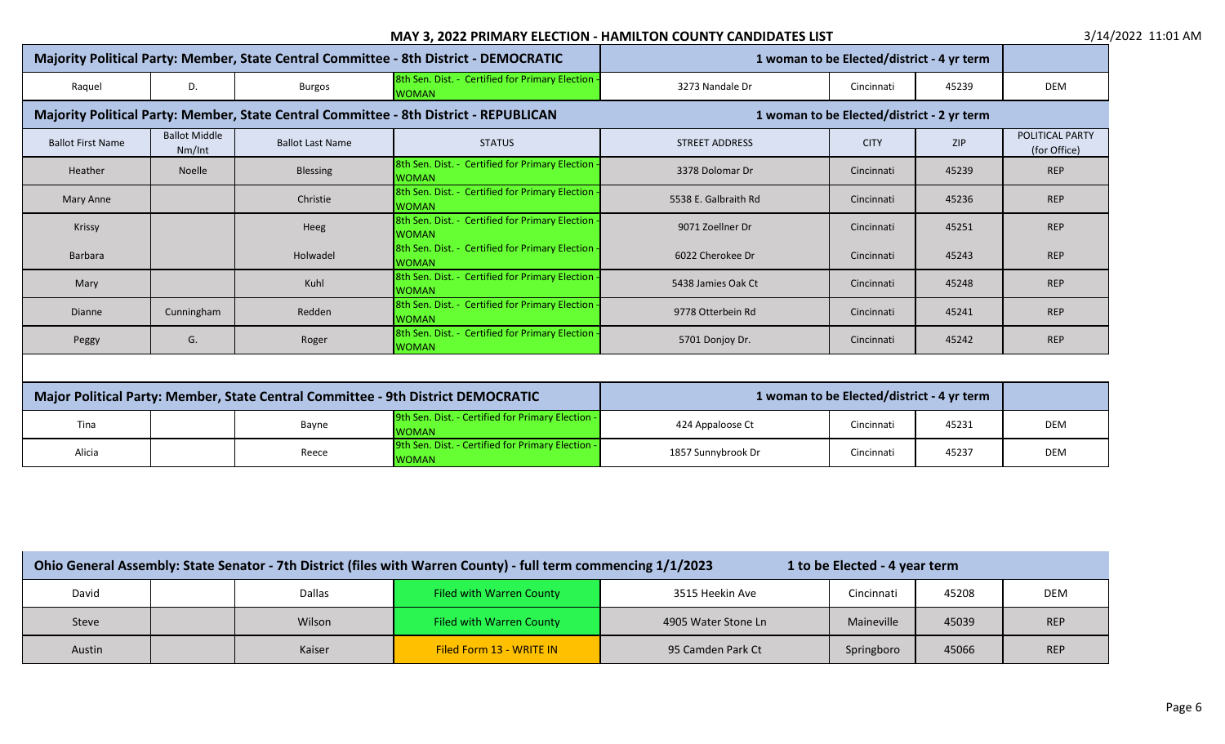|                                                                                  |                                |                         | Majority Political Party: Member, State Central Committee - 8th District - DEMOCRATIC |                                            | 1 woman to be Elected/district - 4 yr term |            |                                        |  |
|----------------------------------------------------------------------------------|--------------------------------|-------------------------|---------------------------------------------------------------------------------------|--------------------------------------------|--------------------------------------------|------------|----------------------------------------|--|
| Raquel                                                                           | D.                             | <b>Burgos</b>           | 8th Sen. Dist. - Certified for Primary Election<br><b>WOMAN</b>                       | 3273 Nandale Dr                            | Cincinnati                                 | 45239      | <b>DEM</b>                             |  |
|                                                                                  |                                |                         | Majority Political Party: Member, State Central Committee - 8th District - REPUBLICAN | 1 woman to be Elected/district - 2 yr term |                                            |            |                                        |  |
| <b>Ballot First Name</b>                                                         | <b>Ballot Middle</b><br>Nm/Int | <b>Ballot Last Name</b> | <b>STATUS</b>                                                                         | <b>STREET ADDRESS</b>                      | <b>CITY</b>                                | <b>ZIP</b> | <b>POLITICAL PARTY</b><br>(for Office) |  |
| Heather                                                                          | Noelle                         | <b>Blessing</b>         | 8th Sen. Dist. - Certified for Primary Election<br><b>WOMAN</b>                       | 3378 Dolomar Dr                            | Cincinnati                                 | 45239      | <b>REP</b>                             |  |
| Mary Anne                                                                        |                                | Christie                | 8th Sen. Dist. - Certified for Primary Election -<br><b>WOMAN</b>                     | 5538 E. Galbraith Rd                       | Cincinnati                                 | 45236      | <b>REP</b>                             |  |
| Krissy                                                                           |                                | Heeg                    | 8th Sen. Dist. - Certified for Primary Election<br><b>WOMAN</b>                       | 9071 Zoellner Dr                           | Cincinnati                                 | 45251      | <b>REP</b>                             |  |
| Barbara                                                                          |                                | Holwadel                | 8th Sen. Dist. - Certified for Primary Election -<br><b>IWOMAN</b>                    | 6022 Cherokee Dr                           | Cincinnati                                 | 45243      | <b>REP</b>                             |  |
| Mary                                                                             |                                | Kuhl                    | 8th Sen. Dist. - Certified for Primary Election<br><b>WOMAN</b>                       | 5438 Jamies Oak Ct                         | Cincinnati                                 | 45248      | <b>REP</b>                             |  |
| <b>Dianne</b>                                                                    | Cunningham                     | Redden                  | 8th Sen. Dist. - Certified for Primary Election<br><b>WOMAN</b>                       | 9778 Otterbein Rd                          | Cincinnati                                 | 45241      | <b>REP</b>                             |  |
| Peggy                                                                            | G.                             | Roger                   | 8th Sen. Dist. - Certified for Primary Election<br><b>WOMAN</b>                       | 5701 Donjoy Dr.                            | Cincinnati                                 | 45242      | <b>REP</b>                             |  |
|                                                                                  |                                |                         |                                                                                       |                                            |                                            |            |                                        |  |
| Major Political Party: Member, State Central Committee - 9th District DEMOCRATIC |                                |                         |                                                                                       | 1 woman to be Elected/district - 4 yr term |                                            |            |                                        |  |
| Tina                                                                             |                                | Bayne                   | 9th Sen. Dist. - Certified for Primary Election -<br><b>WOMAN</b>                     | 424 Appaloose Ct                           | Cincinnati                                 | 45231      | DEM                                    |  |
| Alicia                                                                           |                                | Reece                   | 9th Sen. Dist. - Certified for Primary Election -<br><b>WOMAN</b>                     | 1857 Sunnybrook Dr                         | Cincinnati                                 | 45237      | DEM                                    |  |

| Ohio General Assembly: State Senator - 7th District (files with Warren County) - full term commencing 1/1/2023<br>1 to be Elected - 4 year term |  |        |                          |                     |            |       |            |
|-------------------------------------------------------------------------------------------------------------------------------------------------|--|--------|--------------------------|---------------------|------------|-------|------------|
| David                                                                                                                                           |  | Dallas | Filed with Warren County | 3515 Heekin Ave     | Cincinnati | 45208 | <b>DEM</b> |
| Steve                                                                                                                                           |  | Wilson | Filed with Warren County | 4905 Water Stone Ln | Maineville | 45039 | <b>REP</b> |
| Austin                                                                                                                                          |  | Kaiser | Filed Form 13 - WRITE IN | 95 Camden Park Ct   | Springboro | 45066 | <b>REP</b> |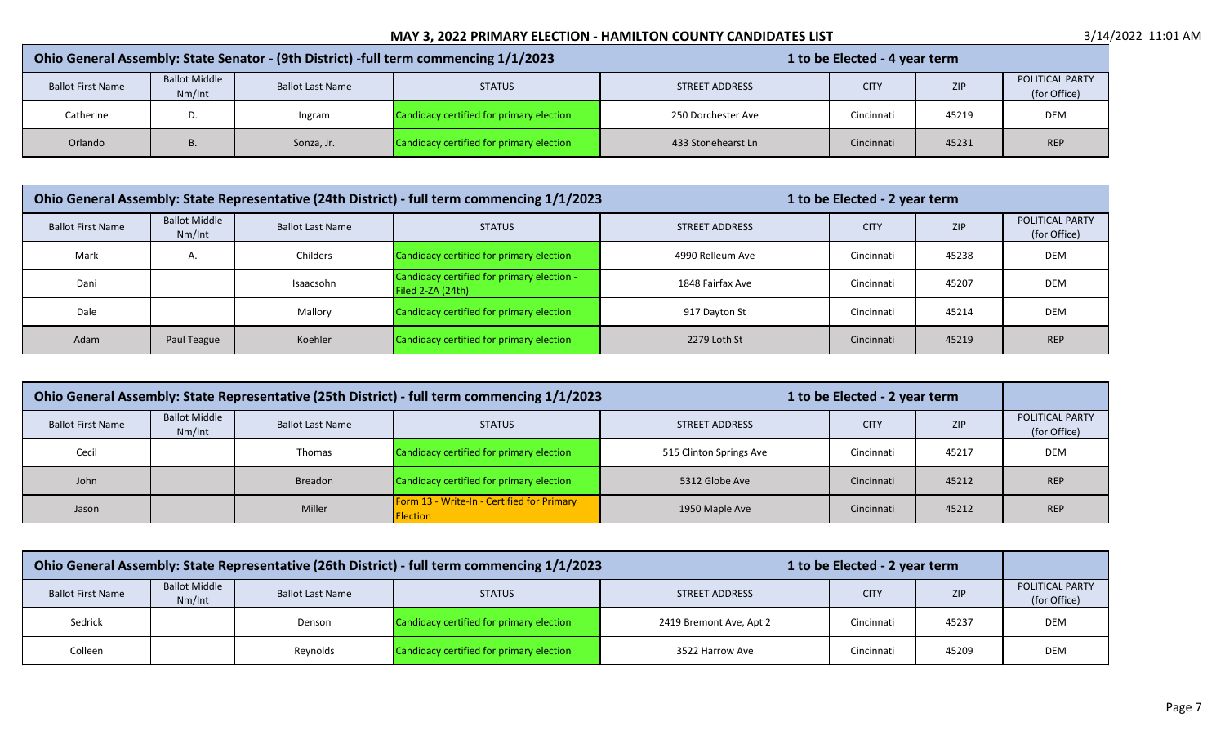| Ohio General Assembly: State Senator - (9th District) -full term commencing 1/1/2023 |                                |                         |                                          | 1 to be Elected - 4 year term |             |       |                                        |
|--------------------------------------------------------------------------------------|--------------------------------|-------------------------|------------------------------------------|-------------------------------|-------------|-------|----------------------------------------|
| <b>Ballot First Name</b>                                                             | <b>Ballot Middle</b><br>Nm/Int | <b>Ballot Last Name</b> | <b>STATUS</b>                            | <b>STREET ADDRESS</b>         | <b>CITY</b> | ZIP   | <b>POLITICAL PARTY</b><br>(for Office) |
| Catherine                                                                            | D                              | Ingram                  | Candidacy certified for primary election | 250 Dorchester Ave            | Cincinnati  | 45219 | <b>DEM</b>                             |
| Orlando                                                                              | υ.                             | Sonza, Jr.              | Candidacy certified for primary election | 433 Stonehearst Ln            | Cincinnati  | 45231 | <b>REP</b>                             |

| Ohio General Assembly: State Representative (24th District) - full term commencing 1/1/2023 |                                |                         |                                                                 | 1 to be Elected - 2 year term |             |            |                                 |
|---------------------------------------------------------------------------------------------|--------------------------------|-------------------------|-----------------------------------------------------------------|-------------------------------|-------------|------------|---------------------------------|
| <b>Ballot First Name</b>                                                                    | <b>Ballot Middle</b><br>Nm/Int | <b>Ballot Last Name</b> | <b>STATUS</b>                                                   | STREET ADDRESS                | <b>CITY</b> | <b>ZIP</b> | POLITICAL PARTY<br>(for Office) |
| Mark                                                                                        | Α.                             | Childers                | Candidacy certified for primary election                        | 4990 Relleum Ave              | Cincinnati  | 45238      | <b>DEM</b>                      |
| Dani                                                                                        |                                | Isaacsohn               | Candidacy certified for primary election -<br>Filed 2-ZA (24th) | 1848 Fairfax Ave              | Cincinnati  | 45207      | <b>DEM</b>                      |
| Dale                                                                                        |                                | Mallory                 | Candidacy certified for primary election                        | 917 Dayton St                 | Cincinnati  | 45214      | <b>DEM</b>                      |
| Adam                                                                                        | Paul Teague                    | Koehler                 | Candidacy certified for primary election                        | 2279 Loth St                  | Cincinnati  | 45219      | <b>REP</b>                      |

| Ohio General Assembly: State Representative (25th District) - full term commencing 1/1/2023<br>1 to be Elected - 2 year term |                                |                         |                                                               |                         |             |            |                                 |
|------------------------------------------------------------------------------------------------------------------------------|--------------------------------|-------------------------|---------------------------------------------------------------|-------------------------|-------------|------------|---------------------------------|
| <b>Ballot First Name</b>                                                                                                     | <b>Ballot Middle</b><br>Nm/Int | <b>Ballot Last Name</b> | <b>STATUS</b>                                                 | <b>STREET ADDRESS</b>   | <b>CITY</b> | <b>ZIP</b> | POLITICAL PARTY<br>(for Office) |
| Cecil                                                                                                                        |                                | Thomas                  | Candidacy certified for primary election                      | 515 Clinton Springs Ave | Cincinnati  | 45217      | <b>DEM</b>                      |
| John                                                                                                                         |                                | <b>Breadon</b>          | Candidacy certified for primary election                      | 5312 Globe Ave          | Cincinnati  | 45212      | <b>REP</b>                      |
| Jason                                                                                                                        |                                | Miller                  | Form 13 - Write-In - Certified for Primary<br><b>Election</b> | 1950 Maple Ave          | Cincinnati  | 45212      | <b>REP</b>                      |

|                          | Ohio General Assembly: State Representative (26th District) - full term commencing 1/1/2023<br>1 to be Elected - 2 year term |                         |                                          |                         |             |            |                                        |
|--------------------------|------------------------------------------------------------------------------------------------------------------------------|-------------------------|------------------------------------------|-------------------------|-------------|------------|----------------------------------------|
| <b>Ballot First Name</b> | <b>Ballot Middle</b><br>Nm/Int                                                                                               | <b>Ballot Last Name</b> | <b>STATUS</b>                            | <b>STREET ADDRESS</b>   | <b>CITY</b> | <b>ZIP</b> | <b>POLITICAL PARTY</b><br>(for Office) |
| Sedrick                  |                                                                                                                              | Denson                  | Candidacy certified for primary election | 2419 Bremont Ave, Apt 2 | Cincinnati  | 45237      | <b>DEM</b>                             |
| Colleen                  |                                                                                                                              | Reynolds                | Candidacy certified for primary election | 3522 Harrow Ave         | Cincinnati  | 45209      | DEM                                    |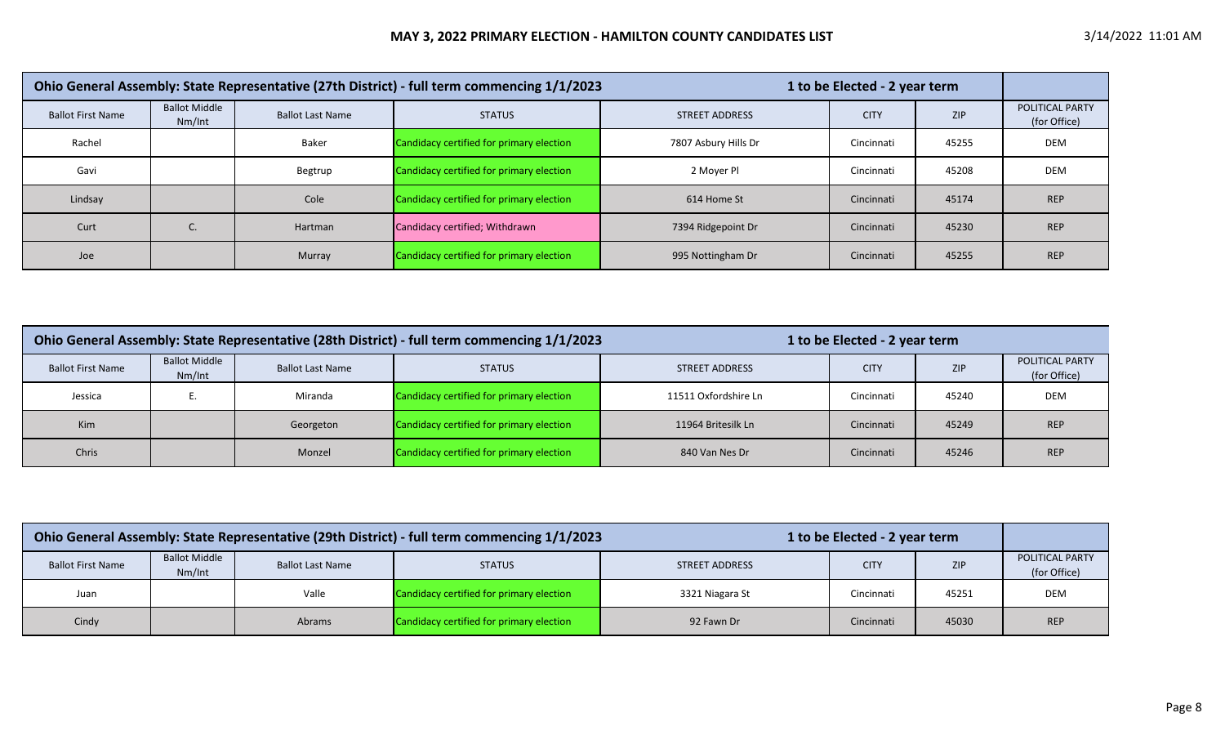|                          |                                |                         | Ohio General Assembly: State Representative (27th District) - full term commencing 1/1/2023 | 1 to be Elected - 2 year term |             |            |                                        |
|--------------------------|--------------------------------|-------------------------|---------------------------------------------------------------------------------------------|-------------------------------|-------------|------------|----------------------------------------|
| <b>Ballot First Name</b> | <b>Ballot Middle</b><br>Nm/Int | <b>Ballot Last Name</b> | <b>STATUS</b>                                                                               | <b>STREET ADDRESS</b>         | <b>CITY</b> | <b>ZIP</b> | <b>POLITICAL PARTY</b><br>(for Office) |
| Rachel                   |                                | Baker                   | Candidacy certified for primary election                                                    | 7807 Asbury Hills Dr          | Cincinnati  | 45255      | DEM                                    |
| Gavi                     |                                | Begtrup                 | Candidacy certified for primary election                                                    | 2 Mover Pl                    | Cincinnati  | 45208      | DEM                                    |
| Lindsay                  |                                | Cole                    | Candidacy certified for primary election                                                    | 614 Home St                   | Cincinnati  | 45174      | <b>REP</b>                             |
| Curt                     |                                | Hartman                 | Candidacy certified; Withdrawn                                                              | 7394 Ridgepoint Dr            | Cincinnati  | 45230      | <b>REP</b>                             |
| Joe                      |                                | Murray                  | Candidacy certified for primary election                                                    | 995 Nottingham Dr             | Cincinnati  | 45255      | <b>REP</b>                             |

| Ohio General Assembly: State Representative (28th District) - full term commencing 1/1/2023 |                                |                         |                                          | 1 to be Elected - 2 year term |             |            |                                 |
|---------------------------------------------------------------------------------------------|--------------------------------|-------------------------|------------------------------------------|-------------------------------|-------------|------------|---------------------------------|
| <b>Ballot First Name</b>                                                                    | <b>Ballot Middle</b><br>Nm/Int | <b>Ballot Last Name</b> | <b>STATUS</b>                            | <b>STREET ADDRESS</b>         | <b>CITY</b> | <b>ZIP</b> | POLITICAL PARTY<br>(for Office) |
| Jessica                                                                                     |                                | Miranda                 | Candidacy certified for primary election | 11511 Oxfordshire Ln          | Cincinnati  | 45240      | <b>DEM</b>                      |
| <b>Kim</b>                                                                                  |                                | Georgeton               | Candidacy certified for primary election | 11964 Britesilk Ln            | Cincinnati  | 45249      | <b>REP</b>                      |
| Chris                                                                                       |                                | Monzel                  | Candidacy certified for primary election | 840 Van Nes Dr                | Cincinnati  | 45246      | <b>REP</b>                      |

| Ohio General Assembly: State Representative (29th District) - full term commencing 1/1/2023<br>1 to be Elected - 2 year term |                                |                         |                                          |                       |             |            |                                 |
|------------------------------------------------------------------------------------------------------------------------------|--------------------------------|-------------------------|------------------------------------------|-----------------------|-------------|------------|---------------------------------|
| <b>Ballot First Name</b>                                                                                                     | <b>Ballot Middle</b><br>Nm/Int | <b>Ballot Last Name</b> | <b>STATUS</b>                            | <b>STREET ADDRESS</b> | <b>CITY</b> | <b>ZIP</b> | POLITICAL PARTY<br>(for Office) |
| Juan                                                                                                                         |                                | Valle                   | Candidacy certified for primary election | 3321 Niagara St       | Cincinnati  | 45251      | <b>DEM</b>                      |
| Candidacy certified for primary election<br>Cincinnati<br>Cindy<br><b>Abrams</b><br>45030<br>92 Fawn Dr                      |                                |                         |                                          |                       |             | <b>REP</b> |                                 |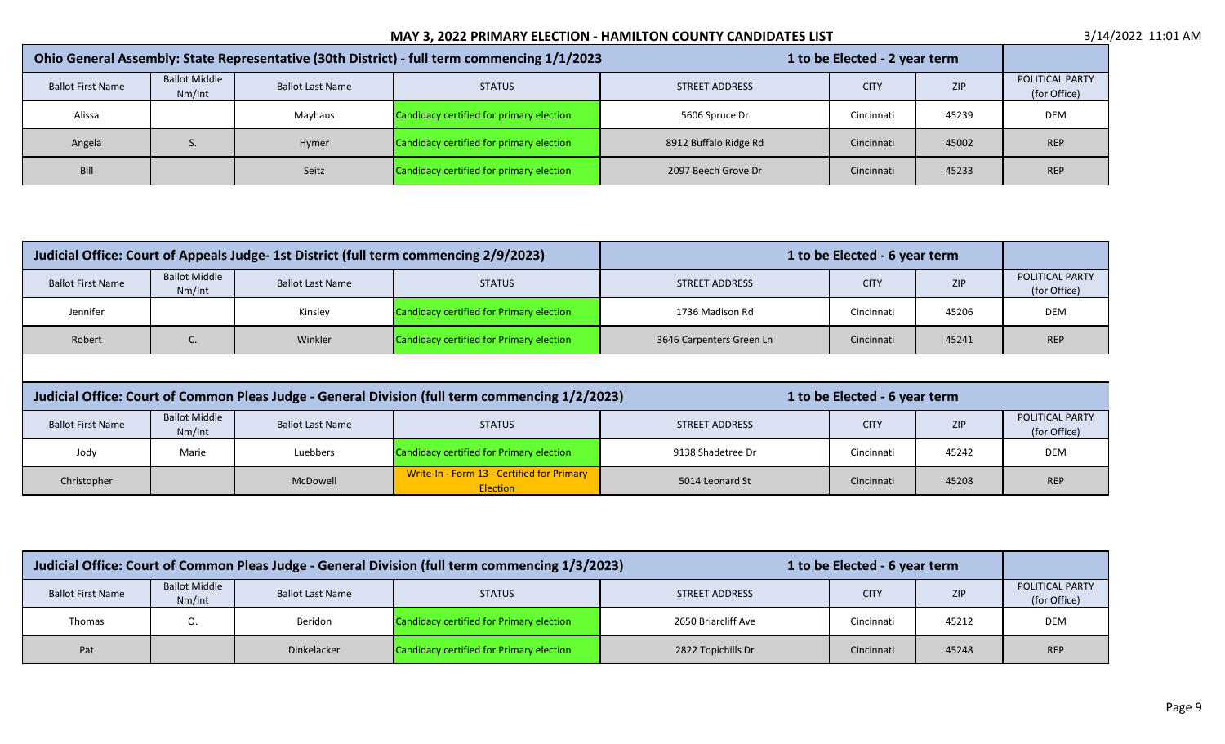|                          | Ohio General Assembly: State Representative (30th District) - full term commencing 1/1/2023<br>1 to be Elected - 2 year term |                         |                                          |                       |             |            |                                 |
|--------------------------|------------------------------------------------------------------------------------------------------------------------------|-------------------------|------------------------------------------|-----------------------|-------------|------------|---------------------------------|
| <b>Ballot First Name</b> | <b>Ballot Middle</b><br>Nm/Int                                                                                               | <b>Ballot Last Name</b> | <b>STATUS</b>                            | <b>STREET ADDRESS</b> | <b>CITY</b> | <b>ZIP</b> | POLITICAL PARTY<br>(for Office) |
| Alissa                   |                                                                                                                              | Mayhaus                 | Candidacy certified for primary election | 5606 Spruce Dr        | Cincinnati  | 45239      | DEM                             |
| Angela                   |                                                                                                                              | Hymer                   | Candidacy certified for primary election | 8912 Buffalo Ridge Rd | Cincinnati  | 45002      | <b>REP</b>                      |
| Bill                     |                                                                                                                              | Seitz                   | Candidacy certified for primary election | 2097 Beech Grove Dr   | Cincinnati  | 45233      | <b>REP</b>                      |

| Judicial Office: Court of Appeals Judge- 1st District (full term commencing 2/9/2023) |                                |                         | 1 to be Elected - 6 year term            |                          |             |            |                                        |
|---------------------------------------------------------------------------------------|--------------------------------|-------------------------|------------------------------------------|--------------------------|-------------|------------|----------------------------------------|
| <b>Ballot First Name</b>                                                              | <b>Ballot Middle</b><br>Nm/Int | <b>Ballot Last Name</b> | <b>STATUS</b>                            | STREET ADDRESS           | <b>CITY</b> | <b>ZIP</b> | <b>POLITICAL PARTY</b><br>(for Office) |
| Jennifer                                                                              |                                | Kinsley                 | Candidacy certified for Primary election | 1736 Madison Rd          | Cincinnati  | 45206      | <b>DEM</b>                             |
| Robert                                                                                | J.                             | Winkler                 | Candidacy certified for Primary election | 3646 Carpenters Green Ln | Cincinnati  | 45241      | <b>REP</b>                             |

| Judicial Office: Court of Common Pleas Judge - General Division (full term commencing 1/2/2023) |                                |                         |                                                               | 1 to be Elected - 6 year term |             |            |                                        |
|-------------------------------------------------------------------------------------------------|--------------------------------|-------------------------|---------------------------------------------------------------|-------------------------------|-------------|------------|----------------------------------------|
| <b>Ballot First Name</b>                                                                        | <b>Ballot Middle</b><br>Nm/Int | <b>Ballot Last Name</b> | <b>STATUS</b>                                                 | STREET ADDRESS                | <b>CITY</b> | <b>ZIP</b> | <b>POLITICAL PARTY</b><br>(for Office) |
| Jody                                                                                            | Marie                          | Luebbers                | Candidacy certified for Primary election                      | 9138 Shadetree Dr             | Cincinnati  | 45242      | <b>DEM</b>                             |
| Christopher                                                                                     |                                | McDowell                | Write-In - Form 13 - Certified for Primary<br><b>Election</b> | 5014 Leonard St               | Cincinnati  | 45208      | <b>REP</b>                             |

| Judicial Office: Court of Common Pleas Judge - General Division (full term commencing 1/3/2023)<br>1 to be Elected - 6 year term |                                |                         |                                          |                     |             |            |                                 |
|----------------------------------------------------------------------------------------------------------------------------------|--------------------------------|-------------------------|------------------------------------------|---------------------|-------------|------------|---------------------------------|
| <b>Ballot First Name</b>                                                                                                         | <b>Ballot Middle</b><br>Nm/Int | <b>Ballot Last Name</b> | <b>STATUS</b>                            | STREET ADDRESS      | <b>CITY</b> | <b>ZIP</b> | POLITICAL PARTY<br>(for Office) |
| Thomas                                                                                                                           |                                | Beridon                 | Candidacy certified for Primary election | 2650 Briarcliff Ave | Cincinnati  | 45212      | <b>DEM</b>                      |
| Pat                                                                                                                              |                                | <b>Dinkelacker</b>      | Candidacy certified for Primary election | 2822 Topichills Dr  | Cincinnati  | 45248      | <b>REP</b>                      |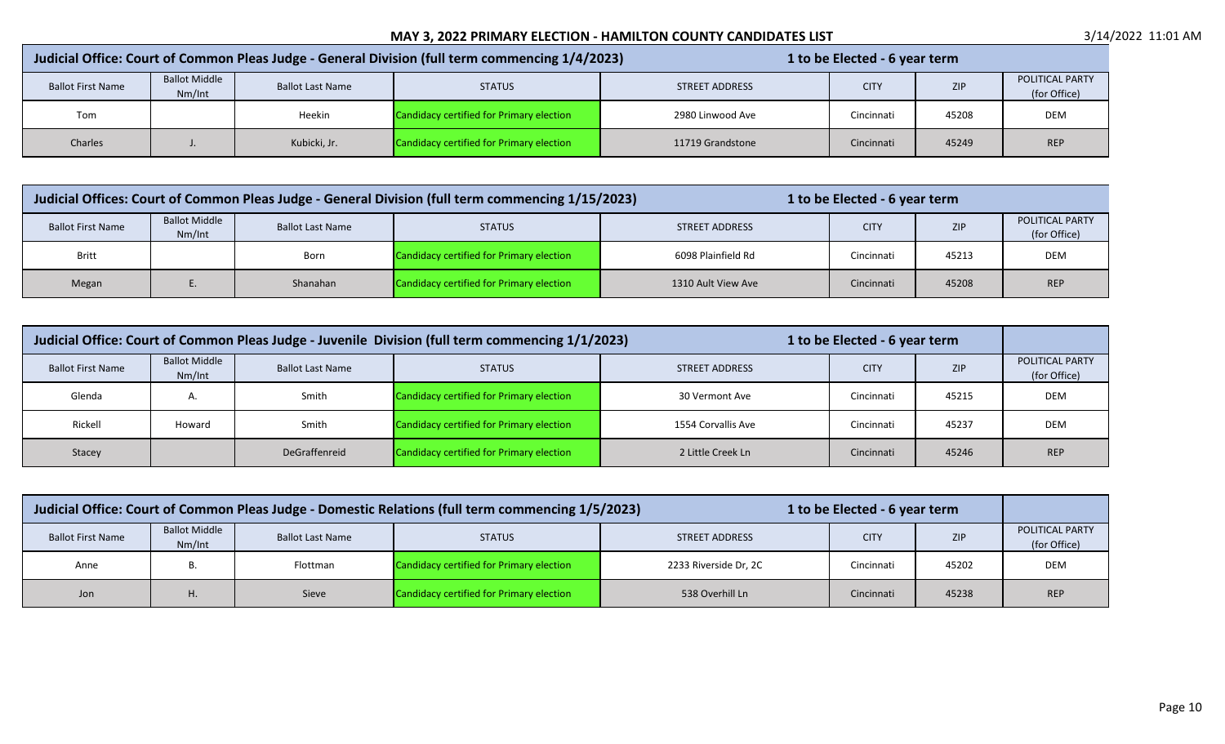| Judicial Office: Court of Common Pleas Judge - General Division (full term commencing 1/4/2023) |                                |                         |                                          | 1 to be Elected - 6 year term |             |       |                                 |
|-------------------------------------------------------------------------------------------------|--------------------------------|-------------------------|------------------------------------------|-------------------------------|-------------|-------|---------------------------------|
| <b>Ballot First Name</b>                                                                        | <b>Ballot Middle</b><br>Nm/Int | <b>Ballot Last Name</b> | <b>STATUS</b>                            | <b>STREET ADDRESS</b>         | <b>CITY</b> | ZIP   | POLITICAL PARTY<br>(for Office) |
| Tom                                                                                             |                                | Heekin                  | Candidacy certified for Primary election | 2980 Linwood Ave              | Cincinnati  | 45208 | DEM                             |
| Charles                                                                                         |                                | Kubicki, Jr.            | Candidacy certified for Primary election | 11719 Grandstone              | Cincinnati  | 45249 | <b>REP</b>                      |

| Judicial Offices: Court of Common Pleas Judge - General Division (full term commencing 1/15/2023) |                                |                         |                                          | 1 to be Elected - 6 year term |             |       |                                        |
|---------------------------------------------------------------------------------------------------|--------------------------------|-------------------------|------------------------------------------|-------------------------------|-------------|-------|----------------------------------------|
| <b>Ballot First Name</b>                                                                          | <b>Ballot Middle</b><br>Nm/Int | <b>Ballot Last Name</b> | <b>STATUS</b>                            | <b>STREET ADDRESS</b>         | <b>CITY</b> | ZIP   | <b>POLITICAL PARTY</b><br>(for Office) |
| <b>Britt</b>                                                                                      |                                | Born                    | Candidacy certified for Primary election | 6098 Plainfield Rd            | Cincinnati  | 45213 | <b>DEM</b>                             |
| Megan                                                                                             |                                | Shanahan                | Candidacy certified for Primary election | 1310 Ault View Ave            | Cincinnati  | 45208 | <b>REP</b>                             |

| Judicial Office: Court of Common Pleas Judge - Juvenile Division (full term commencing 1/1/2023)<br>1 to be Elected - 6 year term |                                |                         |                                          |                       |             |            |                                 |
|-----------------------------------------------------------------------------------------------------------------------------------|--------------------------------|-------------------------|------------------------------------------|-----------------------|-------------|------------|---------------------------------|
| <b>Ballot First Name</b>                                                                                                          | <b>Ballot Middle</b><br>Nm/Int | <b>Ballot Last Name</b> | <b>STATUS</b>                            | <b>STREET ADDRESS</b> | <b>CITY</b> | <b>ZIP</b> | POLITICAL PARTY<br>(for Office) |
| Glenda                                                                                                                            | А.                             | Smith                   | Candidacy certified for Primary election | 30 Vermont Ave        | Cincinnati  | 45215      | <b>DEM</b>                      |
| Rickell                                                                                                                           | Howard                         | Smith                   | Candidacy certified for Primary election | 1554 Corvallis Ave    | Cincinnati  | 45237      | <b>DEM</b>                      |
| Stacey                                                                                                                            |                                | DeGraffenreid           | Candidacy certified for Primary election | 2 Little Creek Ln     | Cincinnati  | 45246      | <b>REP</b>                      |

| Judicial Office: Court of Common Pleas Judge - Domestic Relations (full term commencing 1/5/2023)<br>1 to be Elected - 6 year term |                                |                         |                                          |                       |             |            |                                 |
|------------------------------------------------------------------------------------------------------------------------------------|--------------------------------|-------------------------|------------------------------------------|-----------------------|-------------|------------|---------------------------------|
| <b>Ballot First Name</b>                                                                                                           | <b>Ballot Middle</b><br>Nm/Int | <b>Ballot Last Name</b> | <b>STATUS</b>                            | <b>STREET ADDRESS</b> | <b>CITY</b> | <b>ZIP</b> | POLITICAL PARTY<br>(for Office) |
| Anne                                                                                                                               |                                | Flottman                | Candidacy certified for Primary election | 2233 Riverside Dr, 2C | Cincinnati  | 45202      | <b>DEM</b>                      |
| Jon                                                                                                                                | Η.                             | Sieve                   | Candidacy certified for Primary election | 538 Overhill Ln       | Cincinnati  | 45238      | <b>REP</b>                      |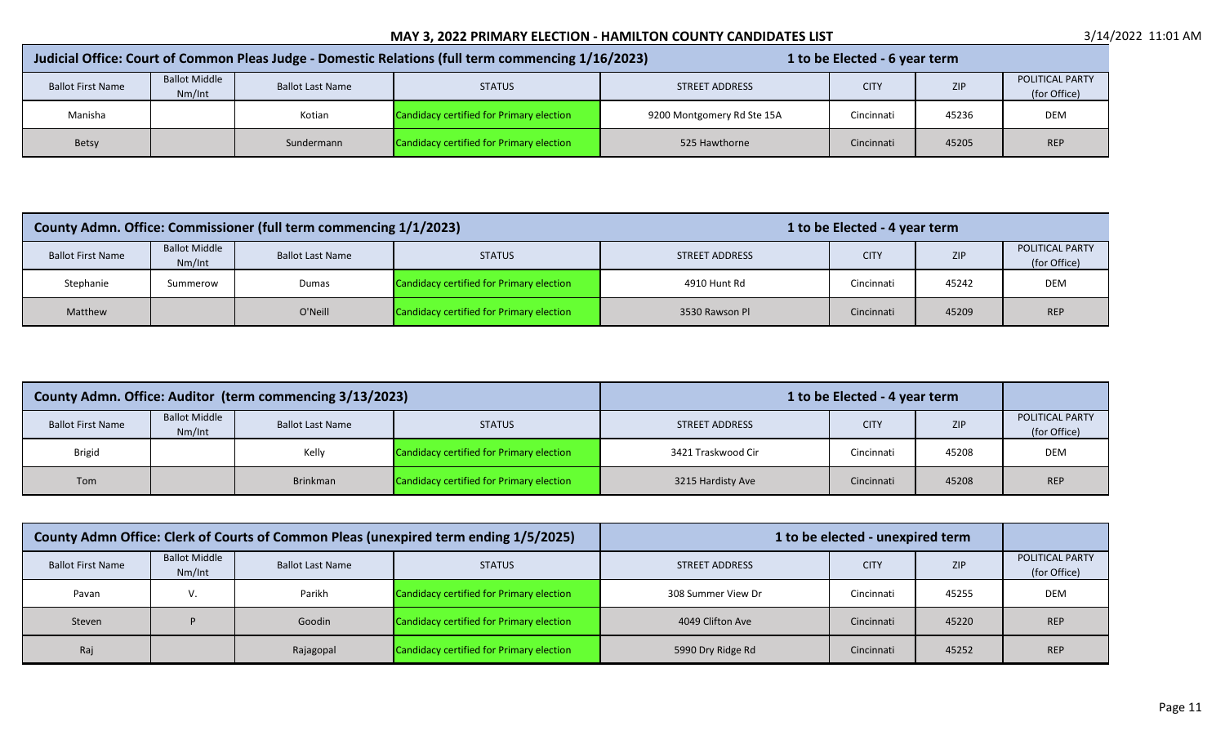| Judicial Office: Court of Common Pleas Judge - Domestic Relations (full term commencing 1/16/2023) |                                |                         |                                          |                            | 1 to be Elected - 6 year term |            |                                        |
|----------------------------------------------------------------------------------------------------|--------------------------------|-------------------------|------------------------------------------|----------------------------|-------------------------------|------------|----------------------------------------|
| <b>Ballot First Name</b>                                                                           | <b>Ballot Middle</b><br>Nm/Int | <b>Ballot Last Name</b> | <b>STATUS</b>                            | STREET ADDRESS             | <b>CITY</b>                   | <b>ZIP</b> | <b>POLITICAL PARTY</b><br>(for Office) |
| Manisha                                                                                            |                                | Kotian                  | Candidacy certified for Primary election | 9200 Montgomery Rd Ste 15A | Cincinnati                    | 45236      | DEM                                    |
| Betsy                                                                                              |                                | Sundermann              | Candidacy certified for Primary election | 525 Hawthorne              | Cincinnati                    | 45205      | <b>REP</b>                             |

|                          |                                | County Admn. Office: Commissioner (full term commencing 1/1/2023) |                                          |                | 1 to be Elected - 4 year term |            |                                        |
|--------------------------|--------------------------------|-------------------------------------------------------------------|------------------------------------------|----------------|-------------------------------|------------|----------------------------------------|
| <b>Ballot First Name</b> | <b>Ballot Middle</b><br>Nm/Int | <b>Ballot Last Name</b>                                           | <b>STATUS</b>                            | STREET ADDRESS | <b>CITY</b>                   | <b>ZIP</b> | <b>POLITICAL PARTY</b><br>(for Office) |
| Stephanie                | Summerow                       | Dumas                                                             | Candidacy certified for Primary election | 4910 Hunt Rd   | Cincinnati                    | 45242      | <b>DEM</b>                             |
| Matthew                  |                                | O'Neill                                                           | Candidacy certified for Primary election | 3530 Rawson Pl | Cincinnati                    | 45209      | <b>REP</b>                             |

|                          | County Admn. Office: Auditor (term commencing 3/13/2023) |                         |                                          | 1 to be Elected - 4 year term |             |            |                                        |
|--------------------------|----------------------------------------------------------|-------------------------|------------------------------------------|-------------------------------|-------------|------------|----------------------------------------|
| <b>Ballot First Name</b> | <b>Ballot Middle</b><br>Nm/Int                           | <b>Ballot Last Name</b> | <b>STATUS</b>                            | STREET ADDRESS                | <b>CITY</b> | <b>ZIP</b> | <b>POLITICAL PARTY</b><br>(for Office) |
| <b>Brigid</b>            |                                                          | Kelly                   | Candidacy certified for Primary election | 3421 Traskwood Cir            | Cincinnati  | 45208      | <b>DEM</b>                             |
| Tom                      |                                                          | Brinkman                | Candidacy certified for Primary election | 3215 Hardisty Ave             | Cincinnati  | 45208      | <b>REP</b>                             |

| County Admn Office: Clerk of Courts of Common Pleas (unexpired term ending 1/5/2025) |                                |                         | 1 to be elected - unexpired term         |                       |             |            |                                        |
|--------------------------------------------------------------------------------------|--------------------------------|-------------------------|------------------------------------------|-----------------------|-------------|------------|----------------------------------------|
| <b>Ballot First Name</b>                                                             | <b>Ballot Middle</b><br>Nm/Int | <b>Ballot Last Name</b> | <b>STATUS</b>                            | <b>STREET ADDRESS</b> | <b>CITY</b> | <b>ZIP</b> | <b>POLITICAL PARTY</b><br>(for Office) |
| Pavan                                                                                |                                | Parikh                  | Candidacy certified for Primary election | 308 Summer View Dr    | Cincinnati  | 45255      | <b>DEM</b>                             |
| Steven                                                                               |                                | Goodin                  | Candidacy certified for Primary election | 4049 Clifton Ave      | Cincinnati  | 45220      | <b>REP</b>                             |
| Raj                                                                                  |                                | Rajagopal               | Candidacy certified for Primary election | 5990 Dry Ridge Rd     | Cincinnati  | 45252      | <b>REP</b>                             |